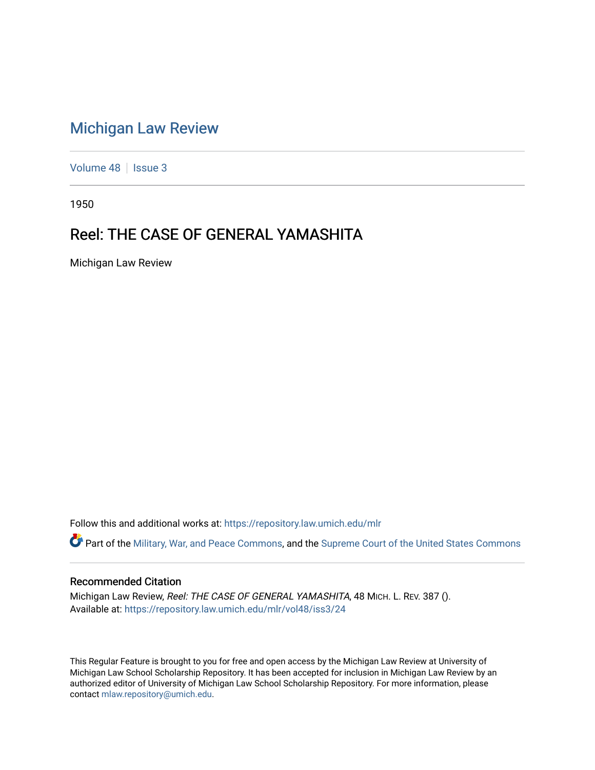## [Michigan Law Review](https://repository.law.umich.edu/mlr)

[Volume 48](https://repository.law.umich.edu/mlr/vol48) | [Issue 3](https://repository.law.umich.edu/mlr/vol48/iss3)

1950

# Reel: THE CASE OF GENERAL YAMASHITA

Michigan Law Review

Follow this and additional works at: [https://repository.law.umich.edu/mlr](https://repository.law.umich.edu/mlr?utm_source=repository.law.umich.edu%2Fmlr%2Fvol48%2Fiss3%2F24&utm_medium=PDF&utm_campaign=PDFCoverPages) 

Part of the [Military, War, and Peace Commons,](http://network.bepress.com/hgg/discipline/861?utm_source=repository.law.umich.edu%2Fmlr%2Fvol48%2Fiss3%2F24&utm_medium=PDF&utm_campaign=PDFCoverPages) and the [Supreme Court of the United States Commons](http://network.bepress.com/hgg/discipline/1350?utm_source=repository.law.umich.edu%2Fmlr%2Fvol48%2Fiss3%2F24&utm_medium=PDF&utm_campaign=PDFCoverPages)

### Recommended Citation

Michigan Law Review, Reel: THE CASE OF GENERAL YAMASHITA, 48 MICH. L. REV. 387 (). Available at: [https://repository.law.umich.edu/mlr/vol48/iss3/24](https://repository.law.umich.edu/mlr/vol48/iss3/24?utm_source=repository.law.umich.edu%2Fmlr%2Fvol48%2Fiss3%2F24&utm_medium=PDF&utm_campaign=PDFCoverPages) 

This Regular Feature is brought to you for free and open access by the Michigan Law Review at University of Michigan Law School Scholarship Repository. It has been accepted for inclusion in Michigan Law Review by an authorized editor of University of Michigan Law School Scholarship Repository. For more information, please contact [mlaw.repository@umich.edu](mailto:mlaw.repository@umich.edu).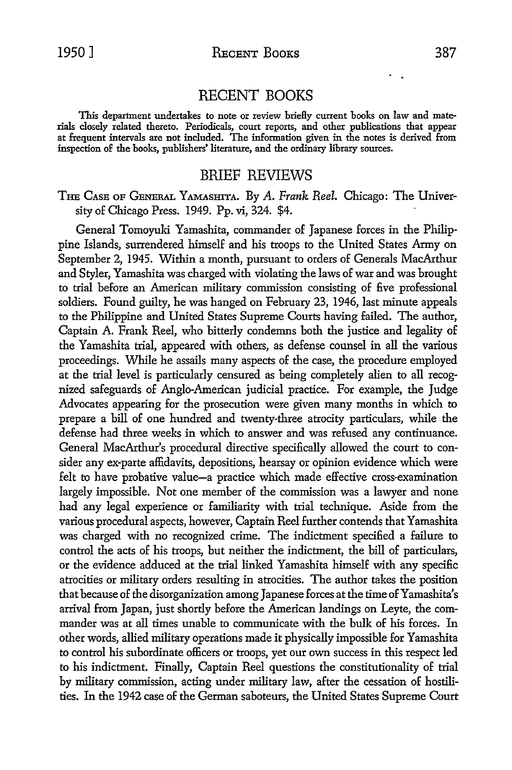#### RECENT BOOKS

This department undertakes to note or review brieHy current books on law and materials closely related thereto. Periodicals, court reports, and other publications that appear at frequent intervals are not included. The information given in the notes is derived from inspection of the books, publishers' literature, and the ordinary library sources.

### BRIEF REVIEWS

THE CASE OF GENERAL YAMAsmTA. By A. *Frank Reel.* Chicago: The University of Chicago Press. 1949. Pp. vi, 324. \$4.

General Tomoyuki Yamashita, commander of Japanese forces in the Philippine Islands, surrendered himself and his troops to the United States Army on September 2, 1945. Within a month, pursuant to orders of Generals MacArthur and Styler, Yamashita was charged with violating the laws of war and was brought to trial before an American military commission consisting of five professional soldiers. Found guilty, he was hanged on February 23, 1946, last minute appeals to the Philippine and United States Supreme Courts having failed. The author, Captain A. Frank Reel, who bitterly condemns both the justice and legality of the Yamashita trial, appeared with others, as defense counsel in all the various proceedings. While he assails many aspects of the case, the procedure employed at the trial level is particularly censured as being completely alien to all recognized safeguards of Anglo-American judicial practice. For example, the Judge Advocates appearing for the prosecution were given many months in which to prepare a bill of one hundred and twenty-three atrocity particulars, while the defense had three weeks in which to answer and was refused any continuance. General MacArthur's procedural directive specifically allowed the court to consider any ex-parte affidavits, depositions, hearsay or opinion evidence which were felt to have probative value-a practice which made effective cross-examination largely impossible. Not one member of the commission was a lawyer and none had any legal experience or familiarity with trial technique. Aside from the various procedural aspects, however, Captain Reel further contends that Yamashita was charged with no recognized crime. The indictment specified a failure to control the acts of his troops, but neither the indictment, the bill of particulars, or the evidence adduced at the trial linked Yamashita himself with any specific atrocities or military orders resulting in atrocities. The author takes the position that because of the disorganization among Japanese forces at the time of Yamashita's arrival from Japan, just shortly before the American landings on Leyte, the commander was at all times unable to communicate with the bulk of his forces. In other words, allied military operations made it physically impossible for Yamashita to control his subordinate officers or troops, yet our own success in this respect led to his indictment. Finally, Captain Reel questions the constitutionality of trial by military commission, acting under military law, after the cessation of hostilities. In the 1942 case of the German saboteurs, the United States Supreme Court